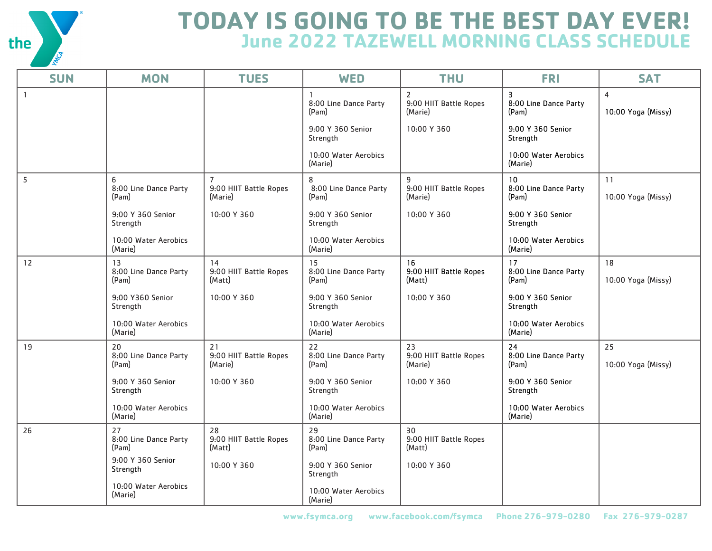

## **TODAY IS GOING TO BE THE BEST DAY EVER! June 2022 TAZEWELL MORNING CLASS SCHEDULE**

| <b>SUN</b>     | <b>MON</b>                           | <b>TUES</b>                                         | <b>WED</b>                           | <b>THU</b>                                          | <b>FRI</b>                                       | <b>SAT</b>                           |
|----------------|--------------------------------------|-----------------------------------------------------|--------------------------------------|-----------------------------------------------------|--------------------------------------------------|--------------------------------------|
| $\overline{1}$ |                                      |                                                     | 8:00 Line Dance Party<br>(Pam)       | $\overline{2}$<br>9:00 HIIT Battle Ropes<br>(Marie) | $\overline{3}$<br>8:00 Line Dance Party<br>(Pam) | $\overline{4}$<br>10:00 Yoga (Missy) |
|                |                                      |                                                     | 9:00 Y 360 Senior<br>Strength        | 10:00 Y 360                                         | 9:00 Y 360 Senior<br>Strength                    |                                      |
|                |                                      |                                                     | 10:00 Water Aerobics<br>(Marie)      |                                                     | 10:00 Water Aerobics<br>(Marie)                  |                                      |
| 5              | 6<br>8:00 Line Dance Party<br>(Pam)  | $\overline{7}$<br>9:00 HIIT Battle Ropes<br>(Marie) | 8<br>8:00 Line Dance Party<br>(Pam)  | 9<br>9:00 HIIT Battle Ropes<br>(Marie)              | 10<br>8:00 Line Dance Party<br>(Pam)             | 11<br>10:00 Yoga (Missy)             |
|                | 9:00 Y 360 Senior<br>Strength        | 10:00 Y 360                                         | 9:00 Y 360 Senior<br>Strength        | 10:00 Y 360                                         | 9:00 Y 360 Senior<br>Strength                    |                                      |
|                | 10:00 Water Aerobics<br>(Marie)      |                                                     | 10:00 Water Aerobics<br>(Marie)      |                                                     | 10:00 Water Aerobics<br>(Marie)                  |                                      |
| 12             | 13<br>8:00 Line Dance Party<br>(Pam) | 14<br>9:00 HIIT Battle Ropes<br>(Matt)              | 15<br>8:00 Line Dance Party<br>(Pam) | 16<br>9:00 HIIT Battle Ropes<br>(Matt)              | 17<br>8:00 Line Dance Party<br>(Pam)             | 18<br>10:00 Yoga (Missy)             |
|                | 9:00 Y360 Senior<br>Strength         | 10:00 Y 360                                         | 9:00 Y 360 Senior<br>Strength        | 10:00 Y 360                                         | 9:00 Y 360 Senior<br>Strength                    |                                      |
|                | 10:00 Water Aerobics<br>(Marie)      |                                                     | 10:00 Water Aerobics<br>(Marie)      |                                                     | 10:00 Water Aerobics<br>(Marie)                  |                                      |
| 19             | 20<br>8:00 Line Dance Party<br>(Pam) | 21<br>9:00 HIIT Battle Ropes<br>(Marie)             | 22<br>8:00 Line Dance Party<br>(Pam) | 23<br>9:00 HIIT Battle Ropes<br>(Marie)             | 24<br>8:00 Line Dance Party<br>(Pam)             | 25<br>10:00 Yoga (Missy)             |
|                | 9:00 Y 360 Senior<br>Strength        | 10:00 Y 360                                         | 9:00 Y 360 Senior<br>Strength        | 10:00 Y 360                                         | 9:00 Y 360 Senior<br>Strength                    |                                      |
|                | 10:00 Water Aerobics<br>(Marie)      |                                                     | 10:00 Water Aerobics<br>(Marie)      |                                                     | 10:00 Water Aerobics<br>(Marie)                  |                                      |
| 26             | 27<br>8:00 Line Dance Party<br>(Pam) | 28<br>9:00 HIIT Battle Ropes<br>(Matt)              | 29<br>8:00 Line Dance Party<br>(Pam) | 30<br>9:00 HIIT Battle Ropes<br>(Matt)              |                                                  |                                      |
|                | 9:00 Y 360 Senior<br>Strength        | 10:00 Y 360                                         | 9:00 Y 360 Senior<br>Strength        | 10:00 Y 360                                         |                                                  |                                      |
|                | 10:00 Water Aerobics<br>(Marie)      |                                                     | 10:00 Water Aerobics<br>(Marie)      |                                                     |                                                  |                                      |